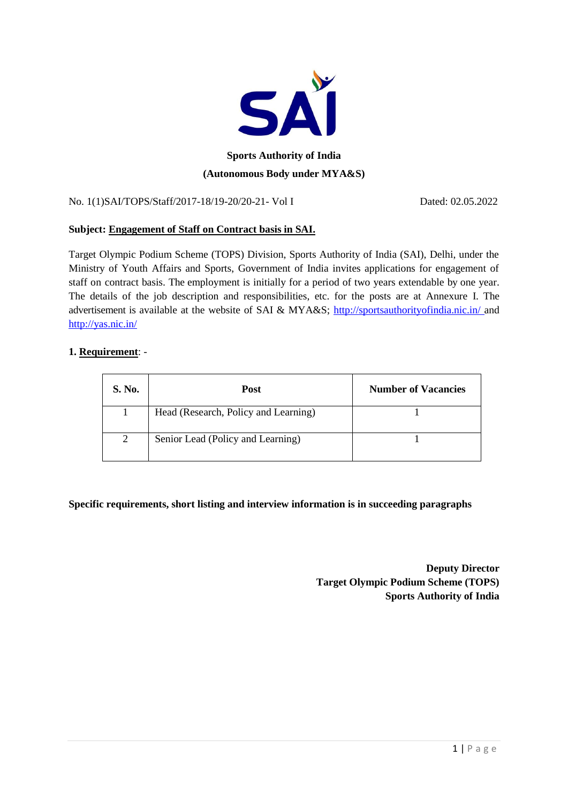

# **Sports Authority of India (Autonomous Body under MYA&S)**

No. 1(1)SAI/TOPS/Staff/2017-18/19-20/20-21- Vol I Dated: 02.05.2022

## **Subject: Engagement of Staff on Contract basis in SAI.**

Target Olympic Podium Scheme (TOPS) Division, Sports Authority of India (SAI), Delhi, under the Ministry of Youth Affairs and Sports, Government of India invites applications for engagement of staff on contract basis. The employment is initially for a period of two years extendable by one year. The details of the job description and responsibilities, etc. for the posts are at Annexure I. The advertisement is available at the website of SAI & MYA&S; [http://sportsauthorityofindia.nic.in/ a](http://sportsauthorityofindia.nic.in/)nd <http://yas.nic.in/>

#### **1. Requirement**: -

| S. No. | Post                                 | <b>Number of Vacancies</b> |
|--------|--------------------------------------|----------------------------|
|        | Head (Research, Policy and Learning) |                            |
| 2      | Senior Lead (Policy and Learning)    |                            |

**Specific requirements, short listing and interview information is in succeeding paragraphs**

**Deputy Director Target Olympic Podium Scheme (TOPS) Sports Authority of India**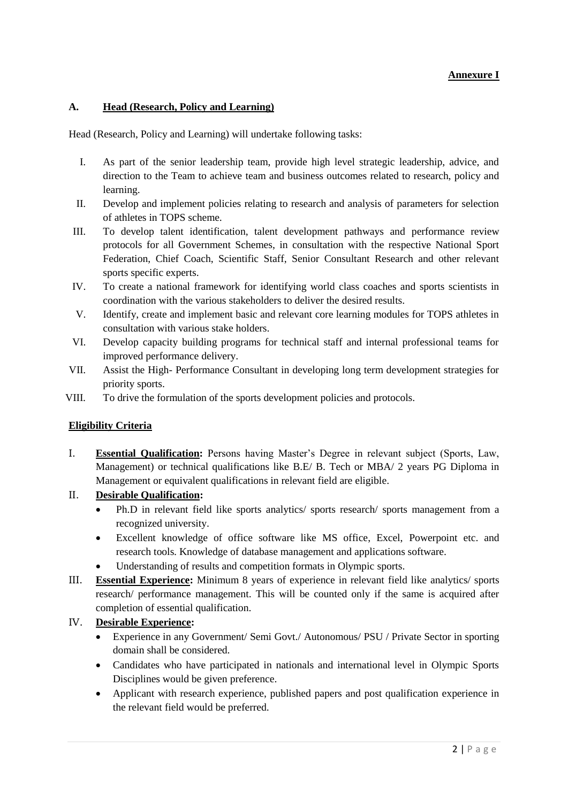## **Annexure I**

#### **A. Head (Research, Policy and Learning)**

Head (Research, Policy and Learning) will undertake following tasks:

- I. As part of the senior leadership team, provide high level strategic leadership, advice, and direction to the Team to achieve team and business outcomes related to research, policy and learning.
- II. Develop and implement policies relating to research and analysis of parameters for selection of athletes in TOPS scheme.
- III. To develop talent identification, talent development pathways and performance review protocols for all Government Schemes, in consultation with the respective National Sport Federation, Chief Coach, Scientific Staff, Senior Consultant Research and other relevant sports specific experts.
- IV. To create a national framework for identifying world class coaches and sports scientists in coordination with the various stakeholders to deliver the desired results.
- V. Identify, create and implement basic and relevant core learning modules for TOPS athletes in consultation with various stake holders.
- VI. Develop capacity building programs for technical staff and internal professional teams for improved performance delivery.
- VII. Assist the High- Performance Consultant in developing long term development strategies for priority sports.
- VIII. To drive the formulation of the sports development policies and protocols.

#### **Eligibility Criteria**

I. **Essential Qualification:** Persons having Master's Degree in relevant subject (Sports, Law, Management) or technical qualifications like B.E/ B. Tech or MBA/ 2 years PG Diploma in Management or equivalent qualifications in relevant field are eligible.

#### II. **Desirable Qualification:**

- Ph.D in relevant field like sports analytics/ sports research/ sports management from a recognized university.
- Excellent knowledge of office software like MS office, Excel, Powerpoint etc. and research tools. Knowledge of database management and applications software.
- Understanding of results and competition formats in Olympic sports.
- III. **Essential Experience:** Minimum 8 years of experience in relevant field like analytics/ sports research/ performance management. This will be counted only if the same is acquired after completion of essential qualification.

#### IV. **Desirable Experience:**

- Experience in any Government/ Semi Govt./ Autonomous/ PSU / Private Sector in sporting domain shall be considered.
- Candidates who have participated in nationals and international level in Olympic Sports Disciplines would be given preference.
- Applicant with research experience, published papers and post qualification experience in the relevant field would be preferred.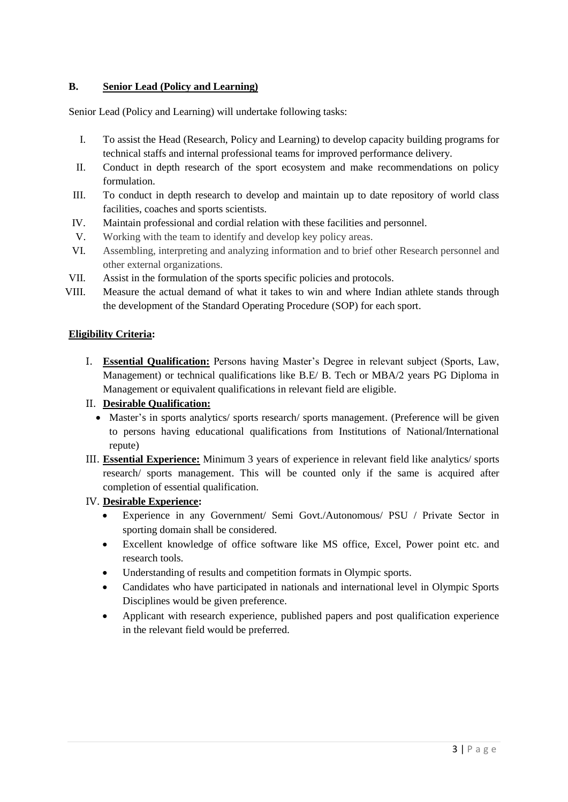## **B. Senior Lead (Policy and Learning)**

Senior Lead (Policy and Learning) will undertake following tasks:

- I. To assist the Head (Research, Policy and Learning) to develop capacity building programs for technical staffs and internal professional teams for improved performance delivery.
- II. Conduct in depth research of the sport ecosystem and make recommendations on policy formulation.
- III. To conduct in depth research to develop and maintain up to date repository of world class facilities, coaches and sports scientists.
- IV. Maintain professional and cordial relation with these facilities and personnel.
- V. Working with the team to identify and develop key policy areas.
- VI. Assembling, interpreting and analyzing information and to brief other Research personnel and other external organizations.
- VII. Assist in the formulation of the sports specific policies and protocols.
- VIII. Measure the actual demand of what it takes to win and where Indian athlete stands through the development of the Standard Operating Procedure (SOP) for each sport.

#### **Eligibility Criteria:**

I. **Essential Qualification:** Persons having Master's Degree in relevant subject (Sports, Law, Management) or technical qualifications like B.E/ B. Tech or MBA/2 years PG Diploma in Management or equivalent qualifications in relevant field are eligible.

#### II. **Desirable Qualification:**

- Master's in sports analytics/ sports research/ sports management. (Preference will be given to persons having educational qualifications from Institutions of National/International repute)
- III. **Essential Experience:** Minimum 3 years of experience in relevant field like analytics/ sports research/ sports management. This will be counted only if the same is acquired after completion of essential qualification.

#### IV. **Desirable Experience:**

- Experience in any Government/ Semi Govt./Autonomous/ PSU / Private Sector in sporting domain shall be considered.
- Excellent knowledge of office software like MS office, Excel, Power point etc. and research tools.
- Understanding of results and competition formats in Olympic sports.
- Candidates who have participated in nationals and international level in Olympic Sports Disciplines would be given preference.
- Applicant with research experience, published papers and post qualification experience in the relevant field would be preferred.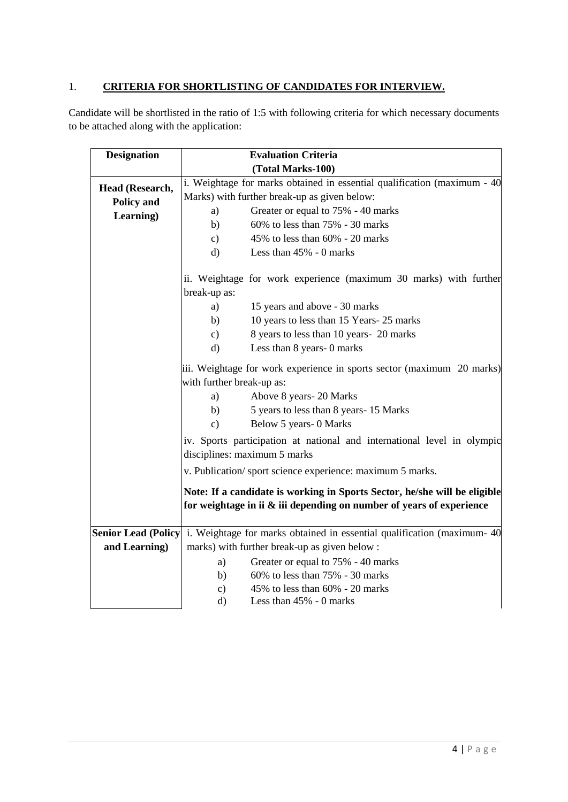## 1. **CRITERIA FOR SHORTLISTING OF CANDIDATES FOR INTERVIEW.**

Candidate will be shortlisted in the ratio of 1:5 with following criteria for which necessary documents to be attached along with the application:

| <b>Designation</b> |                                                                                                                                                    | <b>Evaluation Criteria</b>                                            |  |  |
|--------------------|----------------------------------------------------------------------------------------------------------------------------------------------------|-----------------------------------------------------------------------|--|--|
|                    |                                                                                                                                                    | (Total Marks-100)                                                     |  |  |
| Head (Research,    | i. Weightage for marks obtained in essential qualification (maximum - 40                                                                           |                                                                       |  |  |
| <b>Policy and</b>  | Marks) with further break-up as given below:                                                                                                       |                                                                       |  |  |
| Learning)          | a)                                                                                                                                                 | Greater or equal to 75% - 40 marks                                    |  |  |
|                    | b)                                                                                                                                                 | 60% to less than 75% - 30 marks                                       |  |  |
|                    | $\mathbf{c})$                                                                                                                                      | 45% to less than 60% - 20 marks                                       |  |  |
|                    | $\rm d)$                                                                                                                                           | Less than 45% - 0 marks                                               |  |  |
|                    |                                                                                                                                                    | ii. Weightage for work experience (maximum 30 marks) with further     |  |  |
|                    | break-up as:                                                                                                                                       |                                                                       |  |  |
|                    | a)                                                                                                                                                 | 15 years and above - 30 marks                                         |  |  |
|                    | b)                                                                                                                                                 | 10 years to less than 15 Years-25 marks                               |  |  |
|                    | $\mathbf{c})$                                                                                                                                      | 8 years to less than 10 years- 20 marks                               |  |  |
|                    | $\rm d$                                                                                                                                            | Less than 8 years- 0 marks                                            |  |  |
|                    | iii. Weightage for work experience in sports sector (maximum 20 marks)                                                                             |                                                                       |  |  |
|                    | with further break-up as:                                                                                                                          |                                                                       |  |  |
|                    | a)                                                                                                                                                 | Above 8 years-20 Marks                                                |  |  |
|                    | b)                                                                                                                                                 | 5 years to less than 8 years- 15 Marks                                |  |  |
|                    | $\mathbf{c})$                                                                                                                                      | Below 5 years- 0 Marks                                                |  |  |
|                    | iv. Sports participation at national and international level in olympic                                                                            |                                                                       |  |  |
|                    | disciplines: maximum 5 marks                                                                                                                       |                                                                       |  |  |
|                    | v. Publication/sport science experience: maximum 5 marks.                                                                                          |                                                                       |  |  |
|                    | Note: If a candidate is working in Sports Sector, he/she will be eligible                                                                          |                                                                       |  |  |
|                    |                                                                                                                                                    | for weightage in ii & iii depending on number of years of experience  |  |  |
|                    |                                                                                                                                                    |                                                                       |  |  |
| and Learning)      | <b>Senior Lead (Policy</b> i. Weightage for marks obtained in essential qualification (maximum-40)<br>marks) with further break-up as given below: |                                                                       |  |  |
|                    |                                                                                                                                                    |                                                                       |  |  |
|                    | a)<br>b)                                                                                                                                           | Greater or equal to 75% - 40 marks<br>60% to less than 75% - 30 marks |  |  |
|                    | $\mathbf{c})$                                                                                                                                      | 45% to less than 60% - 20 marks                                       |  |  |
|                    | d)                                                                                                                                                 | Less than 45% - 0 marks                                               |  |  |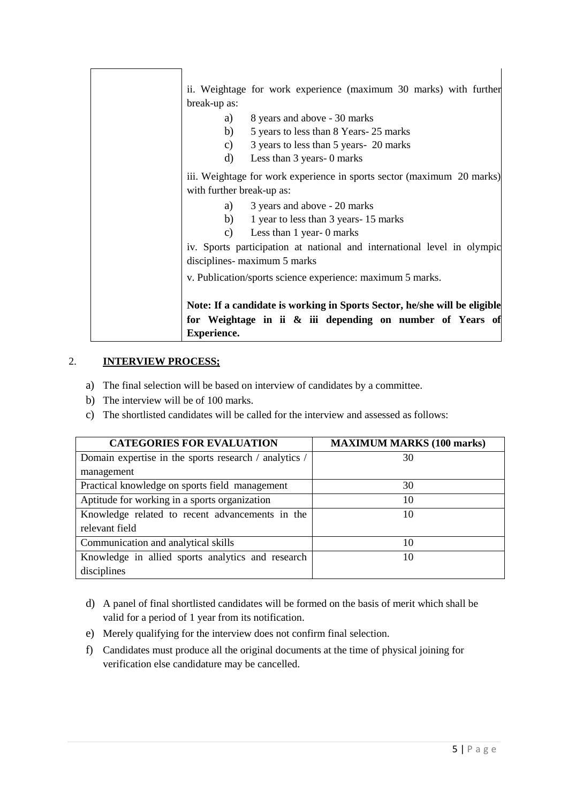| ii. Weightage for work experience (maximum 30 marks) with further         |
|---------------------------------------------------------------------------|
| break-up as:                                                              |
| 8 years and above - 30 marks<br>a)                                        |
| b)<br>5 years to less than 8 Years-25 marks                               |
| 3 years to less than 5 years- 20 marks<br>c)                              |
| d)<br>Less than 3 years - 0 marks                                         |
| iii. Weightage for work experience in sports sector (maximum 20 marks)    |
| with further break-up as:                                                 |
| 3 years and above - 20 marks<br>a)                                        |
| b)<br>1 year to less than 3 years-15 marks                                |
| Less than 1 year- 0 marks<br>$\mathbf{c}$ )                               |
| iv. Sports participation at national and international level in olympic   |
| disciplines- maximum 5 marks                                              |
| v. Publication/sports science experience: maximum 5 marks.                |
|                                                                           |
| Note: If a candidate is working in Sports Sector, he/she will be eligible |
| for Weightage in ii & iii depending on number of Years of                 |
| <b>Experience.</b>                                                        |

## 2. **INTERVIEW PROCESS;**

- a) The final selection will be based on interview of candidates by a committee.
- b) The interview will be of 100 marks.
- c) The shortlisted candidates will be called for the interview and assessed as follows:

| <b>CATEGORIES FOR EVALUATION</b>                      | <b>MAXIMUM MARKS (100 marks)</b> |  |
|-------------------------------------------------------|----------------------------------|--|
| Domain expertise in the sports research / analytics / | 30                               |  |
| management                                            |                                  |  |
| Practical knowledge on sports field management        | 30                               |  |
| Aptitude for working in a sports organization         | 10                               |  |
| Knowledge related to recent advancements in the       | 10                               |  |
| relevant field                                        |                                  |  |
| Communication and analytical skills                   | 10                               |  |
| Knowledge in allied sports analytics and research     | 10                               |  |
| disciplines                                           |                                  |  |

- d) A panel of final shortlisted candidates will be formed on the basis of merit which shall be valid for a period of 1 year from its notification.
- e) Merely qualifying for the interview does not confirm final selection.
- f) Candidates must produce all the original documents at the time of physical joining for verification else candidature may be cancelled.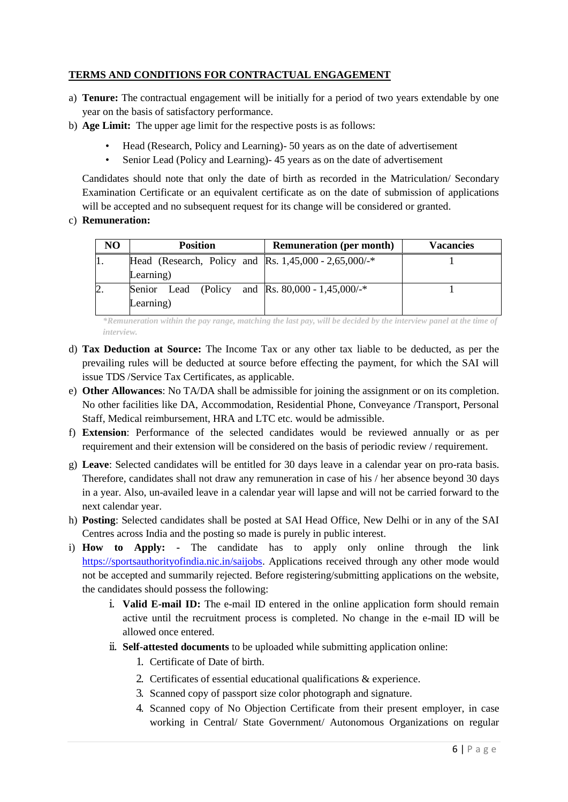## **TERMS AND CONDITIONS FOR CONTRACTUAL ENGAGEMENT**

- a) **Tenure:** The contractual engagement will be initially for a period of two years extendable by one year on the basis of satisfactory performance.
- b) **Age Limit:** The upper age limit for the respective posts is as follows:
	- Head (Research, Policy and Learning)- 50 years as on the date of advertisement
	- Senior Lead (Policy and Learning)- 45 years as on the date of advertisement

Candidates should note that only the date of birth as recorded in the Matriculation/ Secondary Examination Certificate or an equivalent certificate as on the date of submission of applications will be accepted and no subsequent request for its change will be considered or granted.

## c) **Remuneration:**

| N <sub>O</sub> | <b>Position</b>                                         | <b>Remuneration (per month)</b> | <b>Vacancies</b> |
|----------------|---------------------------------------------------------|---------------------------------|------------------|
| 11.            | Head (Research, Policy and Rs. $1,45,000 - 2,65,000/$ * |                                 |                  |
|                | Learning)                                               |                                 |                  |
| $\mathbf{2}$ . | Senior Lead (Policy and Rs. $80,000 - 1,45,000/$ *      |                                 |                  |
|                | Learning)                                               |                                 |                  |

*\*Remuneration within the pay range, matching the last pay, will be decided by the interview panel at the time of interview.*

- d) **Tax Deduction at Source:** The Income Tax or any other tax liable to be deducted, as per the prevailing rules will be deducted at source before effecting the payment, for which the SAI will issue TDS /Service Tax Certificates, as applicable.
- e) **Other Allowances**: No TA/DA shall be admissible for joining the assignment or on its completion. No other facilities like DA, Accommodation, Residential Phone, Conveyance /Transport, Personal Staff, Medical reimbursement, HRA and LTC etc. would be admissible.
- f) **Extension**: Performance of the selected candidates would be reviewed annually or as per requirement and their extension will be considered on the basis of periodic review / requirement.
- g) **Leave**: Selected candidates will be entitled for 30 days leave in a calendar year on pro-rata basis. Therefore, candidates shall not draw any remuneration in case of his / her absence beyond 30 days in a year. Also, un-availed leave in a calendar year will lapse and will not be carried forward to the next calendar year.
- h) **Posting**: Selected candidates shall be posted at SAI Head Office, New Delhi or in any of the SAI Centres across India and the posting so made is purely in public interest.
- i) **How to Apply: -** The candidate has to apply only online through the link [https://sportsauthorityofindia.nic.in/saijobs.](https://sportsauthorityofindia.nic.in/saijobs) Applications received through any other mode would not be accepted and summarily rejected. Before registering/submitting applications on the website, the candidates should possess the following:
	- i. **Valid E-mail ID:** The e-mail ID entered in the online application form should remain active until the recruitment process is completed. No change in the e-mail ID will be allowed once entered.
	- ii. **Self-attested documents** to be uploaded while submitting application online:
		- 1. Certificate of Date of birth.
		- 2. Certificates of essential educational qualifications & experience.
		- 3. Scanned copy of passport size color photograph and signature.
		- 4. Scanned copy of No Objection Certificate from their present employer, in case working in Central/ State Government/ Autonomous Organizations on regular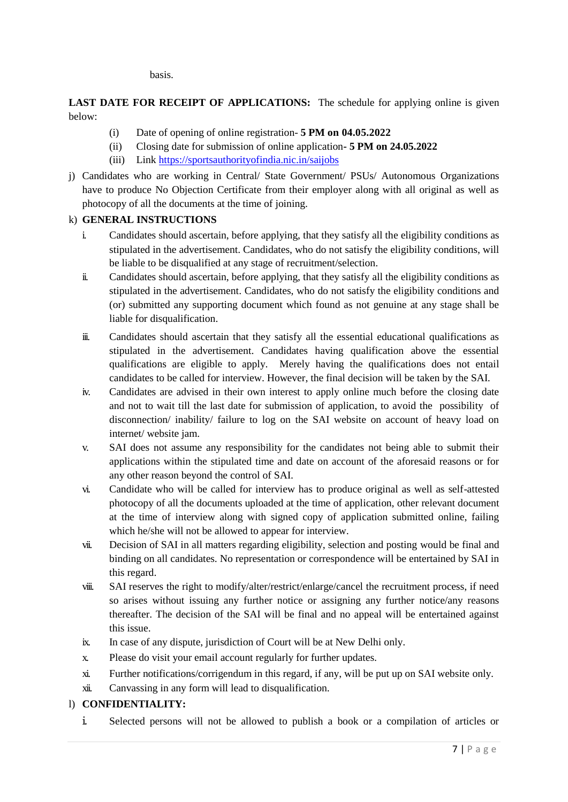basis.

**LAST DATE FOR RECEIPT OF APPLICATIONS:** The schedule for applying online is given below:

- (i) Date of opening of online registration- **5 PM on 04.05.2022**
- (ii) Closing date for submission of online application**- 5 PM on 24.05.2022**
- (iii) Link<https://sportsauthorityofindia.nic.in/saijobs>
- j) Candidates who are working in Central/ State Government/ PSUs/ Autonomous Organizations have to produce No Objection Certificate from their employer along with all original as well as photocopy of all the documents at the time of joining.

#### k) **GENERAL INSTRUCTIONS**

- i. Candidates should ascertain, before applying, that they satisfy all the eligibility conditions as stipulated in the advertisement. Candidates, who do not satisfy the eligibility conditions, will be liable to be disqualified at any stage of recruitment/selection.
- ii. Candidates should ascertain, before applying, that they satisfy all the eligibility conditions as stipulated in the advertisement. Candidates, who do not satisfy the eligibility conditions and (or) submitted any supporting document which found as not genuine at any stage shall be liable for disqualification.
- iii. Candidates should ascertain that they satisfy all the essential educational qualifications as stipulated in the advertisement. Candidates having qualification above the essential qualifications are eligible to apply. Merely having the qualifications does not entail candidates to be called for interview. However, the final decision will be taken by the SAI.
- iv. Candidates are advised in their own interest to apply online much before the closing date and not to wait till the last date for submission of application, to avoid the possibility of disconnection/ inability/ failure to log on the SAI website on account of heavy load on internet/ website jam.
- v. SAI does not assume any responsibility for the candidates not being able to submit their applications within the stipulated time and date on account of the aforesaid reasons or for any other reason beyond the control of SAI.
- vi. Candidate who will be called for interview has to produce original as well as self-attested photocopy of all the documents uploaded at the time of application, other relevant document at the time of interview along with signed copy of application submitted online, failing which he/she will not be allowed to appear for interview.
- vii. Decision of SAI in all matters regarding eligibility, selection and posting would be final and binding on all candidates. No representation or correspondence will be entertained by SAI in this regard.
- viii. SAI reserves the right to modify/alter/restrict/enlarge/cancel the recruitment process, if need so arises without issuing any further notice or assigning any further notice/any reasons thereafter. The decision of the SAI will be final and no appeal will be entertained against this issue.
- ix. In case of any dispute, jurisdiction of Court will be at New Delhi only.
- x. Please do visit your email account regularly for further updates.
- xi. Further notifications/corrigendum in this regard, if any, will be put up on SAI website only.
- xii. Canvassing in any form will lead to disqualification.

#### l) **CONFIDENTIALITY:**

i. Selected persons will not be allowed to publish a book or a compilation of articles or